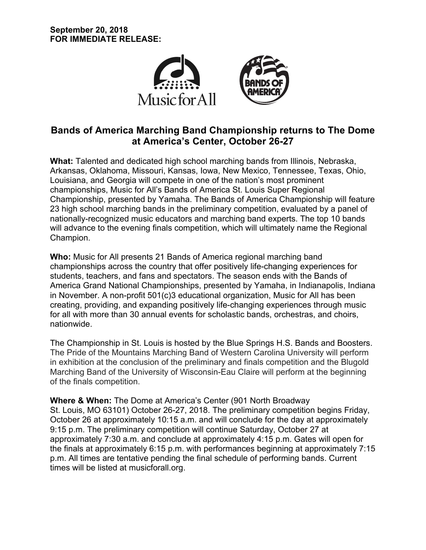

# **Bands of America Marching Band Championship returns to The Dome at America's Center, October 26-27**

**What:** Talented and dedicated high school marching bands from Illinois, Nebraska, Arkansas, Oklahoma, Missouri, Kansas, Iowa, New Mexico, Tennessee, Texas, Ohio, Louisiana, and Georgia will compete in one of the nation's most prominent championships, Music for All's Bands of America St. Louis Super Regional Championship, presented by Yamaha. The Bands of America Championship will feature 23 high school marching bands in the preliminary competition, evaluated by a panel of nationally-recognized music educators and marching band experts. The top 10 bands will advance to the evening finals competition, which will ultimately name the Regional Champion.

**Who:** Music for All presents 21 Bands of America regional marching band championships across the country that offer positively life-changing experiences for students, teachers, and fans and spectators. The season ends with the Bands of America Grand National Championships, presented by Yamaha, in Indianapolis, Indiana in November. A non-profit 501(c)3 educational organization, Music for All has been creating, providing, and expanding positively life-changing experiences through music for all with more than 30 annual events for scholastic bands, orchestras, and choirs, nationwide.

The Championship in St. Louis is hosted by the Blue Springs H.S. Bands and Boosters. The Pride of the Mountains Marching Band of Western Carolina University will perform in exhibition at the conclusion of the preliminary and finals competition and the Blugold Marching Band of the University of Wisconsin-Eau Claire will perform at the beginning of the finals competition.

**Where & When:** The Dome at America's Center (901 North Broadway St. Louis, MO 63101) October 26-27, 2018. The preliminary competition begins Friday, October 26 at approximately 10:15 a.m. and will conclude for the day at approximately 9:15 p.m. The preliminary competition will continue Saturday, October 27 at approximately 7:30 a.m. and conclude at approximately 4:15 p.m. Gates will open for the finals at approximately 6:15 p.m. with performances beginning at approximately 7:15 p.m. All times are tentative pending the final schedule of performing bands. Current times will be listed at musicforall.org.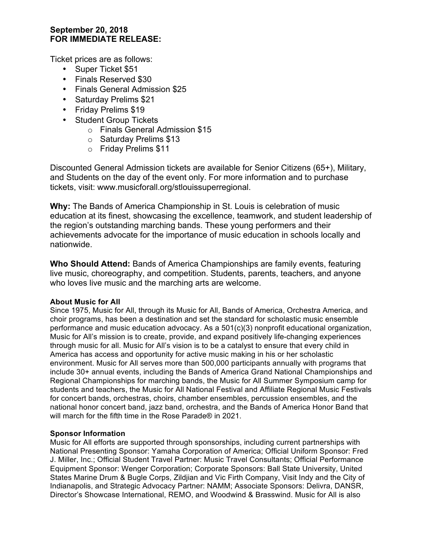## **September 20, 2018 FOR IMMEDIATE RELEASE:**

Ticket prices are as follows:

- Super Ticket \$51
- Finals Reserved \$30
- Finals General Admission \$25
- Saturday Prelims \$21
- Friday Prelims \$19
- Student Group Tickets
	- o Finals General Admission \$15
	- o Saturday Prelims \$13
	- o Friday Prelims \$11

Discounted General Admission tickets are available for Senior Citizens (65+), Military, and Students on the day of the event only. For more information and to purchase tickets, visit: www.musicforall.org/stlouissuperregional.

**Why:** The Bands of America Championship in St. Louis is celebration of music education at its finest, showcasing the excellence, teamwork, and student leadership of the region's outstanding marching bands. These young performers and their achievements advocate for the importance of music education in schools locally and nationwide.

**Who Should Attend:** Bands of America Championships are family events, featuring live music, choreography, and competition. Students, parents, teachers, and anyone who loves live music and the marching arts are welcome.

#### **About Music for All**

Since 1975, Music for All, through its Music for All, Bands of America, Orchestra America, and choir programs, has been a destination and set the standard for scholastic music ensemble performance and music education advocacy. As a 501(c)(3) nonprofit educational organization, Music for All's mission is to create, provide, and expand positively life-changing experiences through music for all. Music for All's vision is to be a catalyst to ensure that every child in America has access and opportunity for active music making in his or her scholastic environment. Music for All serves more than 500,000 participants annually with programs that include 30+ annual events, including the Bands of America Grand National Championships and Regional Championships for marching bands, the Music for All Summer Symposium camp for students and teachers, the Music for All National Festival and Affiliate Regional Music Festivals for concert bands, orchestras, choirs, chamber ensembles, percussion ensembles, and the national honor concert band, jazz band, orchestra, and the Bands of America Honor Band that will march for the fifth time in the Rose Parade® in 2021.

#### **Sponsor Information**

Music for All efforts are supported through sponsorships, including current partnerships with National Presenting Sponsor: Yamaha Corporation of America; Official Uniform Sponsor: Fred J. Miller, Inc.; Official Student Travel Partner: Music Travel Consultants; Official Performance Equipment Sponsor: Wenger Corporation; Corporate Sponsors: Ball State University, United States Marine Drum & Bugle Corps, Zildjian and Vic Firth Company, Visit Indy and the City of Indianapolis, and Strategic Advocacy Partner: NAMM; Associate Sponsors: Delivra, DANSR, Director's Showcase International, REMO, and Woodwind & Brasswind. Music for All is also